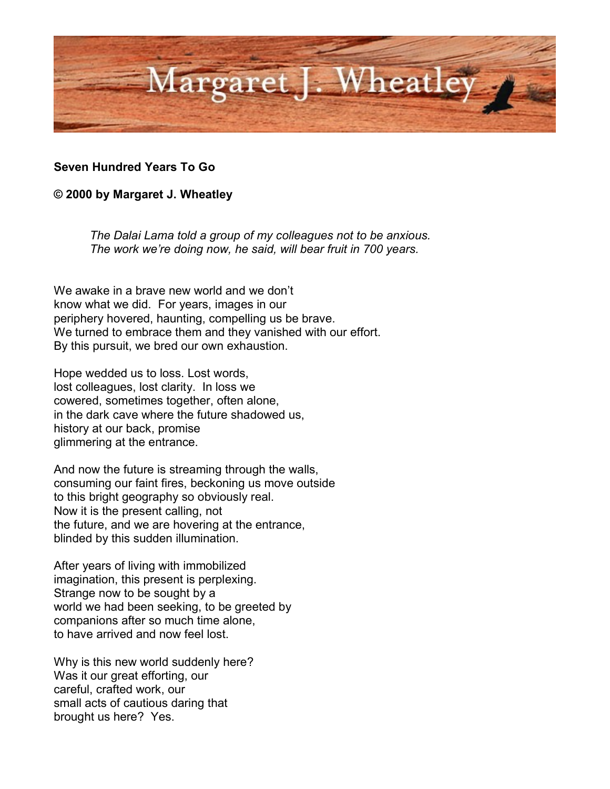

## **Seven Hundred Years To Go**

## **© 2000 by Margaret J. Wheatley**

*The Dalai Lama told a group of my colleagues not to be anxious. The work we're doing now, he said, will bear fruit in 700 years.*

We awake in a brave new world and we don't know what we did. For years, images in our periphery hovered, haunting, compelling us be brave. We turned to embrace them and they vanished with our effort. By this pursuit, we bred our own exhaustion.

Hope wedded us to loss. Lost words, lost colleagues, lost clarity. In loss we cowered, sometimes together, often alone, in the dark cave where the future shadowed us, history at our back, promise glimmering at the entrance.

And now the future is streaming through the walls, consuming our faint fires, beckoning us move outside to this bright geography so obviously real. Now it is the present calling, not the future, and we are hovering at the entrance, blinded by this sudden illumination.

After years of living with immobilized imagination, this present is perplexing. Strange now to be sought by a world we had been seeking, to be greeted by companions after so much time alone, to have arrived and now feel lost.

Why is this new world suddenly here? Was it our great efforting, our careful, crafted work, our small acts of cautious daring that brought us here? Yes.